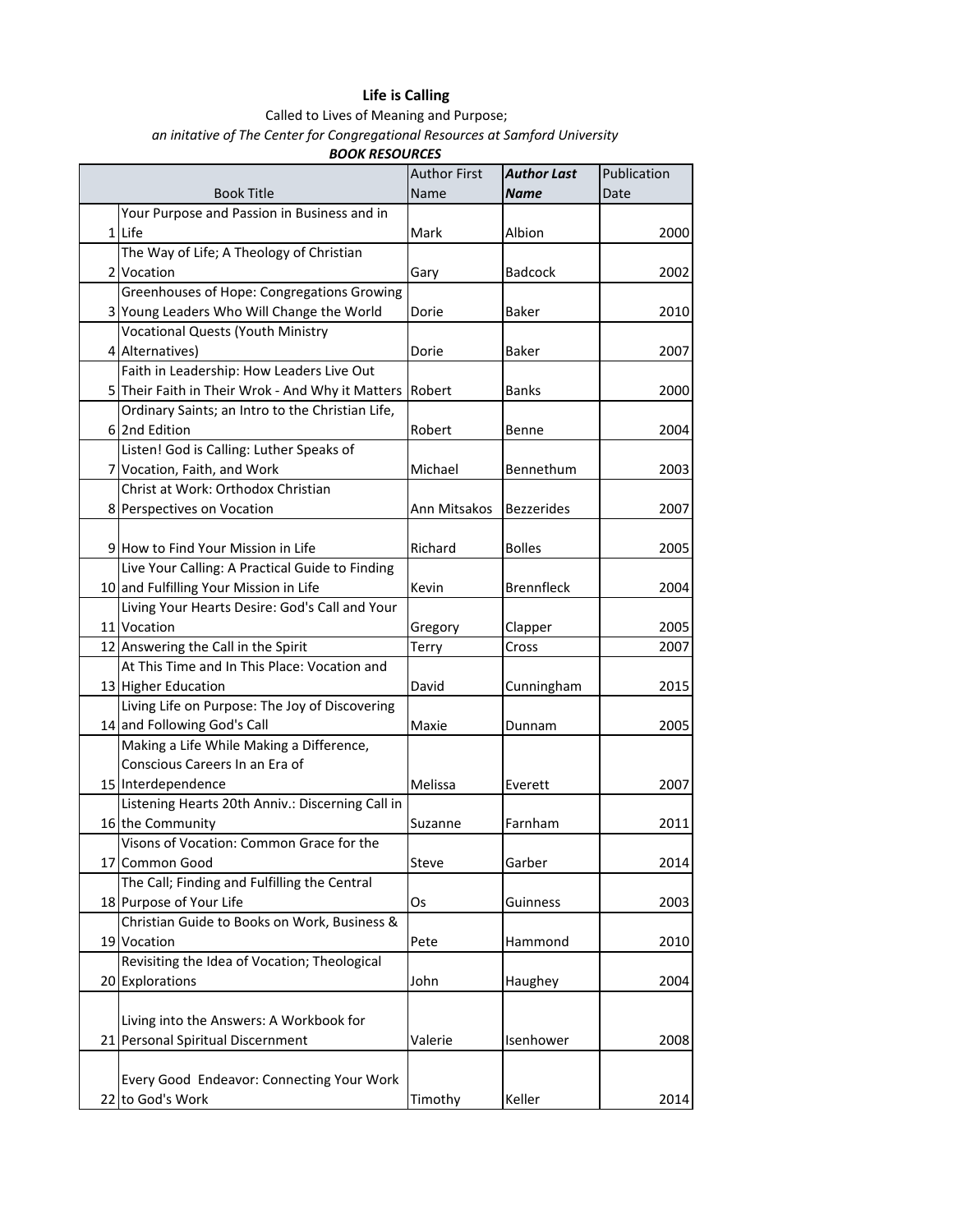## **Life is Calling**

Called to Lives of Meaning and Purpose; *an initative of The Center for Congregational Resources at Samford University*

*BOOK RESOURCES*

|  | <b>Book Title</b>                                | <b>Author First</b><br>Name | <b>Author Last</b><br>Name | Publication<br>Date |
|--|--------------------------------------------------|-----------------------------|----------------------------|---------------------|
|  | Your Purpose and Passion in Business and in      |                             |                            |                     |
|  | 1 Life                                           | Mark                        | Albion                     | 2000                |
|  | The Way of Life; A Theology of Christian         |                             |                            |                     |
|  | 2 Vocation                                       | Gary                        | <b>Badcock</b>             | 2002                |
|  | Greenhouses of Hope: Congregations Growing       |                             |                            |                     |
|  | 3 Young Leaders Who Will Change the World        | Dorie                       | <b>Baker</b>               | 2010                |
|  | <b>Vocational Quests (Youth Ministry</b>         |                             |                            |                     |
|  | 4 Alternatives)                                  | Dorie                       | <b>Baker</b>               | 2007                |
|  | Faith in Leadership: How Leaders Live Out        |                             |                            |                     |
|  | 5 Their Faith in Their Wrok - And Why it Matters | Robert                      | Banks                      | 2000                |
|  | Ordinary Saints; an Intro to the Christian Life, |                             |                            |                     |
|  | 6 2nd Edition                                    | Robert                      | Benne                      | 2004                |
|  | Listen! God is Calling: Luther Speaks of         |                             |                            |                     |
|  | 7 Vocation, Faith, and Work                      | Michael                     | Bennethum                  | 2003                |
|  | Christ at Work: Orthodox Christian               |                             |                            |                     |
|  | 8 Perspectives on Vocation                       | Ann Mitsakos                | <b>Bezzerides</b>          | 2007                |
|  |                                                  |                             |                            |                     |
|  | 9 How to Find Your Mission in Life               | Richard                     | <b>Bolles</b>              | 2005                |
|  | Live Your Calling: A Practical Guide to Finding  |                             |                            |                     |
|  | 10 and Fulfilling Your Mission in Life           | Kevin                       | <b>Brennfleck</b>          | 2004                |
|  | Living Your Hearts Desire: God's Call and Your   |                             |                            |                     |
|  | 11 Vocation                                      | Gregory                     | Clapper                    | 2005                |
|  | 12 Answering the Call in the Spirit              | Terry                       | Cross                      | 2007                |
|  | At This Time and In This Place: Vocation and     |                             |                            |                     |
|  | 13 Higher Education                              | David                       | Cunningham                 | 2015                |
|  | Living Life on Purpose: The Joy of Discovering   |                             |                            |                     |
|  | 14 and Following God's Call                      | Maxie                       | Dunnam                     | 2005                |
|  | Making a Life While Making a Difference,         |                             |                            |                     |
|  | Conscious Careers In an Era of                   |                             |                            |                     |
|  | 15 Interdependence                               | Melissa                     | Everett                    | 2007                |
|  | Listening Hearts 20th Anniv.: Discerning Call in |                             |                            |                     |
|  | 16 the Community                                 | Suzanne                     | Farnham                    | 2011                |
|  | Visons of Vocation: Common Grace for the         |                             |                            |                     |
|  | 17 Common Good                                   | Steve                       | Garber                     | 2014                |
|  | The Call; Finding and Fulfilling the Central     |                             |                            |                     |
|  | 18 Purpose of Your Life                          | Os                          | Guinness                   | 2003                |
|  | Christian Guide to Books on Work, Business &     |                             |                            |                     |
|  | 19 Vocation                                      | Pete                        | Hammond                    | 2010                |
|  | Revisiting the Idea of Vocation; Theological     |                             |                            |                     |
|  | 20 Explorations                                  | John                        | Haughey                    | 2004                |
|  |                                                  |                             |                            |                     |
|  | Living into the Answers: A Workbook for          |                             |                            |                     |
|  | 21 Personal Spiritual Discernment                | Valerie                     | Isenhower                  | 2008                |
|  |                                                  |                             |                            |                     |
|  | Every Good Endeavor: Connecting Your Work        |                             |                            |                     |
|  | 22 to God's Work                                 | Timothy                     | Keller                     | 2014                |